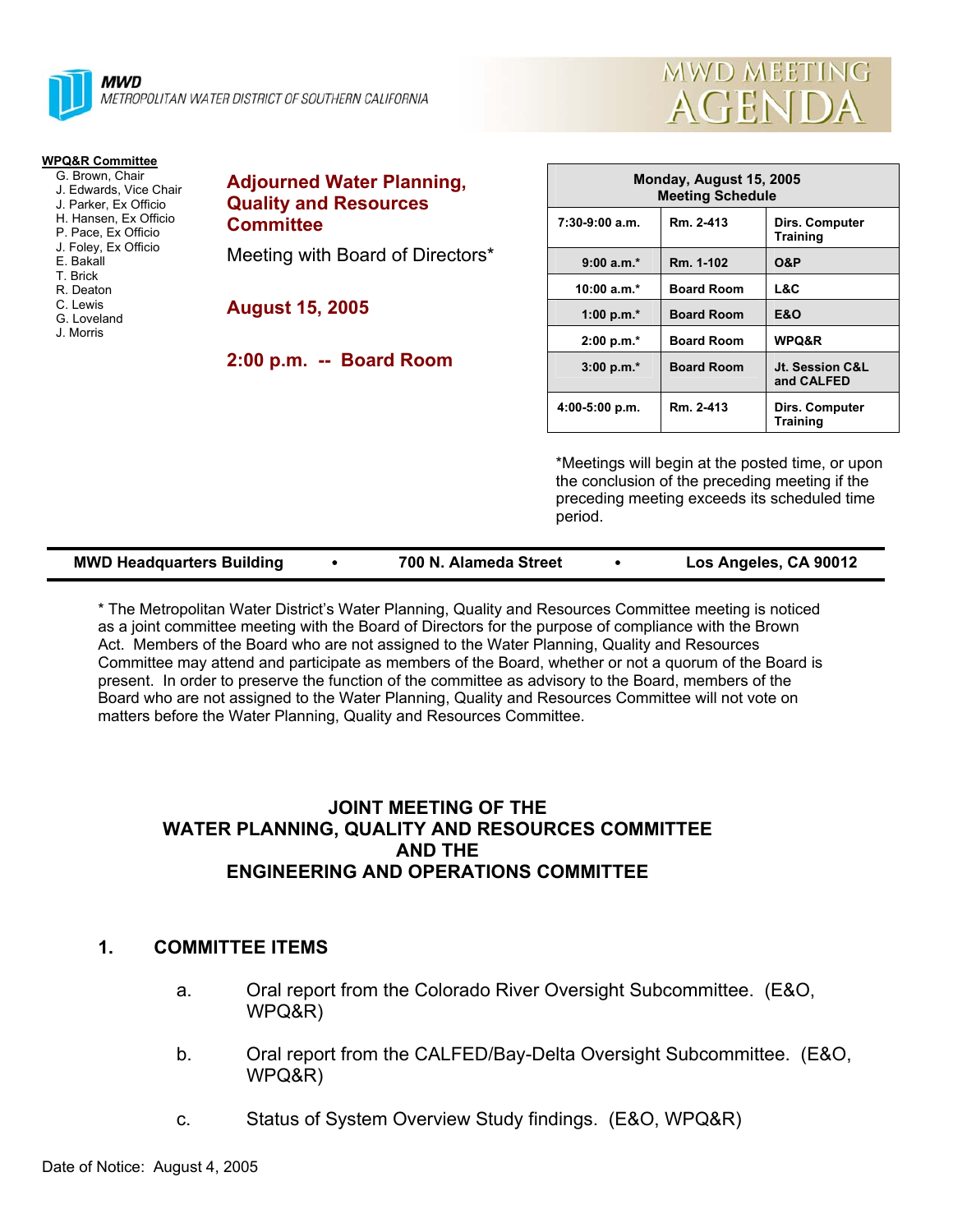



#### **WPQ&R Committee**

- G. Brown, Chair
- J. Edwards, Vice Chair
- J. Parker, Ex Officio H. Hansen, Ex Officio
- P. Pace, Ex Officio
- J. Foley, Ex Officio
- E. Bakall
- T. Brick
- R. Deaton
- C. Lewis
- G. Loveland
- J. Morris

# **Adjourned Water Planning, Quality and Resources Committee**

Meeting with Board of Directors\*

**August 15, 2005** 

**2:00 p.m. -- Board Room** 

| Monday, August 15, 2005<br><b>Meeting Schedule</b> |                   |                                   |  |  |
|----------------------------------------------------|-------------------|-----------------------------------|--|--|
| $7:30-9:00$ a.m.                                   | Rm. 2-413         | Dirs. Computer<br><b>Training</b> |  |  |
| $9:00 a.m.*$                                       | Rm. 1-102         | <b>O&amp;P</b>                    |  |  |
| 10:00 $a.m.*$                                      | <b>Board Room</b> | L&C                               |  |  |
| 1:00 p.m. $*$                                      | <b>Board Room</b> | <b>E&amp;O</b>                    |  |  |
| $2:00 p.m.*$                                       | <b>Board Room</b> | <b>WPQ&amp;R</b>                  |  |  |
| $3:00 p.m.*$                                       | <b>Board Room</b> | Jt. Session C&L<br>and CALFED     |  |  |
| $4:00-5:00 p.m.$                                   | Rm. 2-413         | Dirs. Computer<br><b>Training</b> |  |  |

\*Meetings will begin at the posted time, or upon the conclusion of the preceding meeting if the preceding meeting exceeds its scheduled time period.

| <b>MWD Headquarters Building</b> |  | 700 N. Alameda Street |  | Los Angeles, CA 90012 |
|----------------------------------|--|-----------------------|--|-----------------------|
|----------------------------------|--|-----------------------|--|-----------------------|

\* The Metropolitan Water District's Water Planning, Quality and Resources Committee meeting is noticed as a joint committee meeting with the Board of Directors for the purpose of compliance with the Brown Act. Members of the Board who are not assigned to the Water Planning, Quality and Resources Committee may attend and participate as members of the Board, whether or not a quorum of the Board is present. In order to preserve the function of the committee as advisory to the Board, members of the Board who are not assigned to the Water Planning, Quality and Resources Committee will not vote on matters before the Water Planning, Quality and Resources Committee.

# **JOINT MEETING OF THE WATER PLANNING, QUALITY AND RESOURCES COMMITTEE AND THE ENGINEERING AND OPERATIONS COMMITTEE**

# **1. COMMITTEE ITEMS**

- a. Oral report from the Colorado River Oversight Subcommittee. (E&O, WPQ&R)
- b. Oral report from the CALFED/Bay-Delta Oversight Subcommittee. (E&O, WPQ&R)
- c. Status of System Overview Study findings. (E&O, WPQ&R)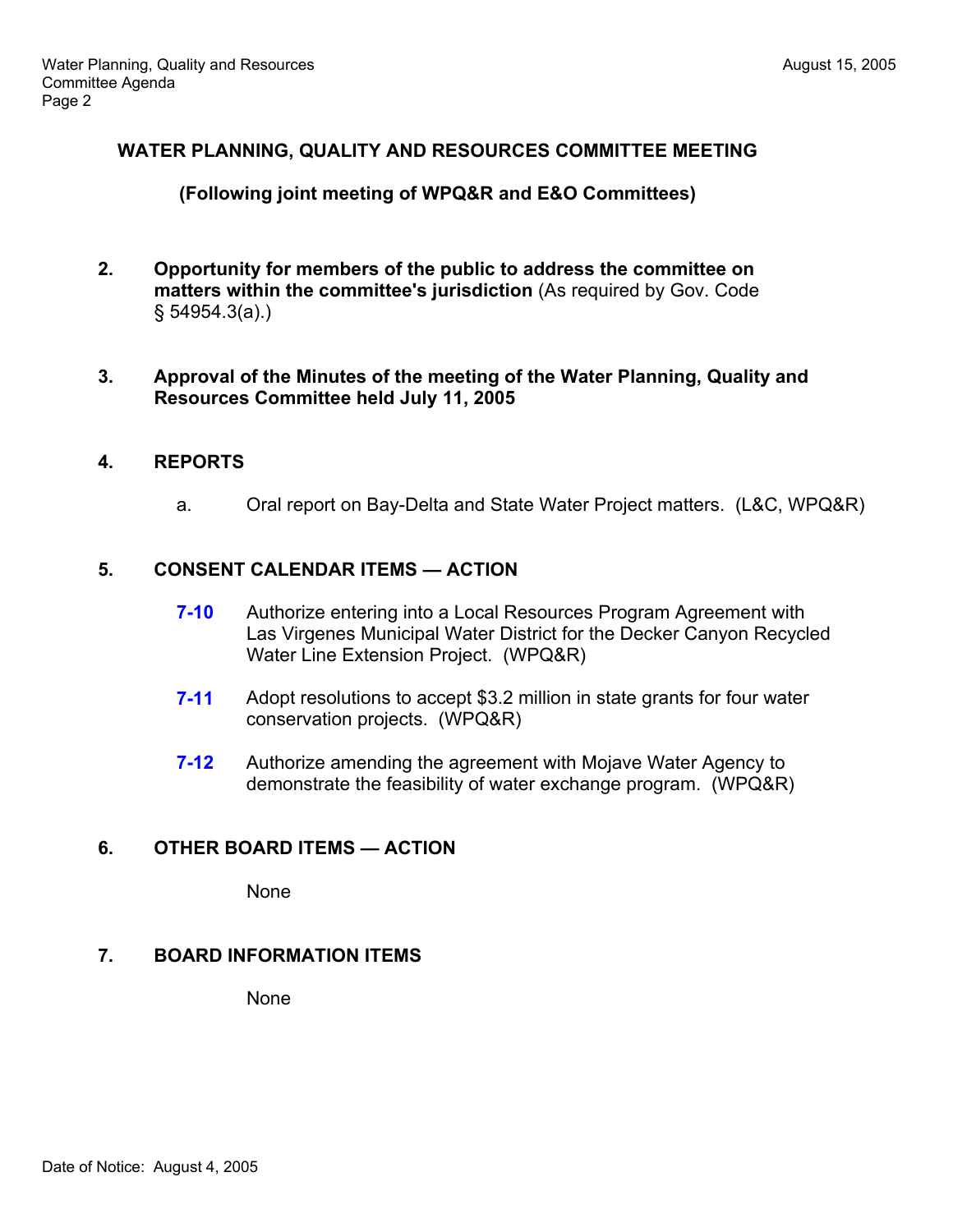# **WATER PLANNING, QUALITY AND RESOURCES COMMITTEE MEETING**

# **(Following joint meeting of WPQ&R and E&O Committees)**

- **2. Opportunity for members of the public to address the committee on matters within the committee's jurisdiction** (As required by Gov. Code § 54954.3(a).)
- **3. Approval of the Minutes of the meeting of the Water Planning, Quality and Resources Committee held July 11, 2005**

# **4. REPORTS**

a. Oral report on Bay-Delta and State Water Project matters. (L&C, WPQ&R)

# **5. CONSENT CALENDAR ITEMS — ACTION**

- **7-10** Authorize entering into a Local Resources Program Agreement with Las Virgenes Municipal Water District for the Decker Canyon Recycled Water Line Extension Project. (WPQ&R)
- **7-11** Adopt resolutions to accept \$3.2 million in state grants for four water conservation projects. (WPQ&R)
- **7-12** Authorize amending the agreement with Mojave Water Agency to demonstrate the feasibility of water exchange program. (WPQ&R)

# **6. OTHER BOARD ITEMS — ACTION**

None

# **7. BOARD INFORMATION ITEMS**

None